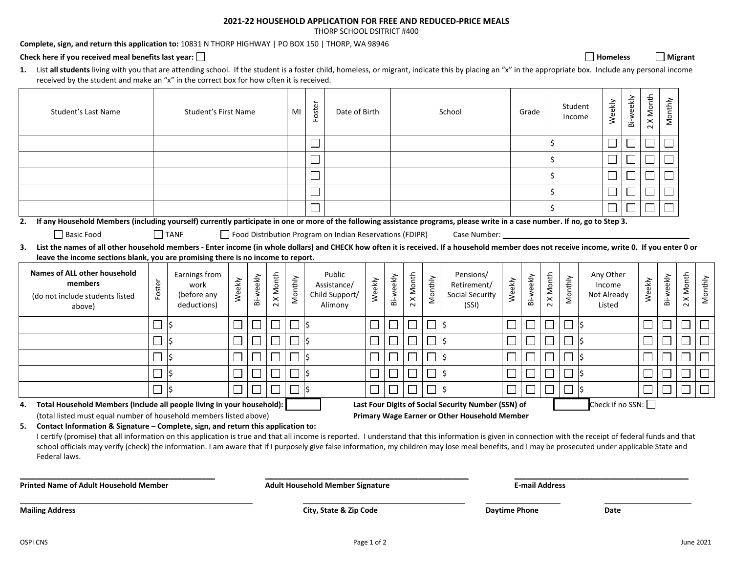## **2021-22 HOUSEHOLD APPLICATION FOR FREE AND REDUCED-PRICE MEALS**

THORP SCHOOL DSITRICT #400

**Complete, sign, and return this application to:** 10831 N THORP HIGHWAY | PO BOX 150 | THORP, WA 98946

## Check here if you received meal benefits last year: □ **Homeless Homeless Homeless Homeless Homeless Nigrant**

**1.** List **all students** living with you that are attending school. If the student is a foster child, homeless, or migrant, indicate this by placing an "x" in the appropriate box. Include any personal income received by the student and make an "x" in the correct box for how often it is received.

| Student's Last Name                                                                                                                                                                                                                                                                                                                                                                                                                                                                                                       | Student's First Name |                                                     |                                         | MI        | Foster            | Date of Birth |     |                                                          | School |           |                       |                             | Grade                                                |        | Student<br>Income           |           | Weekly  | Bi-weekly | 2 X Month                                    | Monthly                  |        |           |                          |         |
|---------------------------------------------------------------------------------------------------------------------------------------------------------------------------------------------------------------------------------------------------------------------------------------------------------------------------------------------------------------------------------------------------------------------------------------------------------------------------------------------------------------------------|----------------------|-----------------------------------------------------|-----------------------------------------|-----------|-------------------|---------------|-----|----------------------------------------------------------|--------|-----------|-----------------------|-----------------------------|------------------------------------------------------|--------|-----------------------------|-----------|---------|-----------|----------------------------------------------|--------------------------|--------|-----------|--------------------------|---------|
|                                                                                                                                                                                                                                                                                                                                                                                                                                                                                                                           |                      |                                                     |                                         |           |                   |               |     |                                                          |        |           |                       |                             |                                                      |        |                             | $\zeta$   |         |           | $\Box$                                       | $\overline{\phantom{a}}$ | $\sim$ |           |                          |         |
|                                                                                                                                                                                                                                                                                                                                                                                                                                                                                                                           |                      |                                                     |                                         |           |                   |               |     |                                                          |        |           |                       |                             |                                                      |        |                             |           |         |           | ⊔                                            | $\Box$                   | $\sim$ |           |                          |         |
|                                                                                                                                                                                                                                                                                                                                                                                                                                                                                                                           |                      |                                                     |                                         |           |                   |               |     |                                                          |        |           |                       |                             |                                                      |        |                             | l\$       |         |           |                                              |                          |        |           |                          |         |
|                                                                                                                                                                                                                                                                                                                                                                                                                                                                                                                           |                      |                                                     |                                         |           |                   |               |     |                                                          |        |           |                       |                             |                                                      |        |                             |           |         |           |                                              |                          |        |           |                          |         |
|                                                                                                                                                                                                                                                                                                                                                                                                                                                                                                                           |                      |                                                     |                                         |           |                   |               |     |                                                          |        |           |                       |                             |                                                      |        |                             |           |         |           |                                              |                          |        |           |                          |         |
| If any Household Members (including yourself) currently participate in one or more of the following assistance programs, please write in a case number. If no, go to Step 3.<br>2.                                                                                                                                                                                                                                                                                                                                        |                      |                                                     |                                         |           |                   |               |     |                                                          |        |           |                       |                             |                                                      |        |                             |           |         |           |                                              |                          |        |           |                          |         |
| Basic Food                                                                                                                                                                                                                                                                                                                                                                                                                                                                                                                |                      | <b>I</b> TANF                                       |                                         |           |                   |               |     | Food Distribution Program on Indian Reservations (FDIPR) |        |           |                       |                             | Case Number:                                         |        |                             |           |         |           |                                              |                          |        |           |                          |         |
| 3. List the names of all other household members - Enter income (in whole dollars) and CHECK how often it is received. If a household member does not receive income, write 0. If you enter 0 or<br>leave the income sections blank, you are promising there is no income to report.                                                                                                                                                                                                                                      |                      |                                                     |                                         |           |                   |               |     |                                                          |        |           |                       |                             |                                                      |        |                             |           |         |           |                                              |                          |        |           |                          |         |
| Names of ALL other household<br>members<br>(do not include students listed<br>above)                                                                                                                                                                                                                                                                                                                                                                                                                                      | Foster               | Earnings from<br>work<br>(before any<br>deductions) | Weekly                                  | Bi-weekly | X Month<br>$\sim$ | Monthly       |     | Public<br>Assistance/<br>Child Support/<br>Alimony       | Weekly | Bi-weekly | X Month<br>$\sim$     | Monthly                     | Pensions/<br>Retirement/<br>Social Security<br>(SSI) | Weekly | Bi-weekly                   | 2 X Month | Monthly |           | Any Other<br>Income<br>Not Already<br>Listed |                          | Weekly | Bi-weekly | 2 X Month                | Monthly |
|                                                                                                                                                                                                                                                                                                                                                                                                                                                                                                                           |                      |                                                     |                                         |           |                   |               | l\$ |                                                          | $\Box$ |           |                       | $\mathcal{L}_{\mathcal{A}}$ |                                                      |        | $\mathcal{L}_{\mathcal{A}}$ | $\Box$    | $\Box$  |           |                                              |                          |        |           | $\overline{\phantom{0}}$ |         |
|                                                                                                                                                                                                                                                                                                                                                                                                                                                                                                                           |                      |                                                     |                                         |           |                   |               | l\$ |                                                          | $\Box$ |           |                       |                             | l\$                                                  |        |                             | $\Box$    |         |           |                                              |                          |        |           | $\mathcal{L}$            |         |
|                                                                                                                                                                                                                                                                                                                                                                                                                                                                                                                           |                      |                                                     |                                         | $\Box$    |                   |               | l\$ |                                                          | $\Box$ | $\Box$    | $\Box$                | $\sim$                      | $\mathsf{\hat{S}}$                                   |        | $\Box$                      | $\Box$    | $\Box$  | I\$       |                                              |                          |        |           | $\Box$                   | $\Box$  |
|                                                                                                                                                                                                                                                                                                                                                                                                                                                                                                                           |                      |                                                     |                                         |           |                   |               | l\$ |                                                          | $\Box$ |           |                       |                             |                                                      |        | $\Box$                      | $\Box$    |         |           |                                              |                          |        |           | $\overline{\phantom{a}}$ | $\Box$  |
|                                                                                                                                                                                                                                                                                                                                                                                                                                                                                                                           |                      |                                                     |                                         |           |                   |               | l\$ |                                                          |        |           |                       |                             |                                                      |        |                             | $\Box$    |         |           |                                              |                          |        |           |                          | $\Box$  |
| Check if no SSN:<br>Total Household Members (include all people living in your household):<br>Last Four Digits of Social Security Number (SSN) of<br>4.<br>(total listed must equal number of household members listed above)<br>Primary Wage Earner or Other Household Member                                                                                                                                                                                                                                            |                      |                                                     |                                         |           |                   |               |     |                                                          |        |           |                       |                             |                                                      |        |                             |           |         |           |                                              |                          |        |           |                          |         |
| 5. Contact Information & Signature - Complete, sign, and return this application to:<br>I certify (promise) that all information on this application is true and that all income is reported. I understand that this information is given in connection with the receipt of federal funds and that<br>school officials may verify (check) the information. I am aware that if I purposely give false information, my children may lose meal benefits, and I may be prosecuted under applicable State and<br>Federal laws. |                      |                                                     |                                         |           |                   |               |     |                                                          |        |           |                       |                             |                                                      |        |                             |           |         |           |                                              |                          |        |           |                          |         |
| <b>Printed Name of Adult Household Member</b>                                                                                                                                                                                                                                                                                                                                                                                                                                                                             |                      |                                                     | <b>Adult Household Member Signature</b> |           |                   |               |     |                                                          |        |           | <b>E-mail Address</b> |                             |                                                      |        |                             |           |         |           |                                              |                          |        |           |                          |         |
| <b>Mailing Address</b>                                                                                                                                                                                                                                                                                                                                                                                                                                                                                                    |                      |                                                     |                                         |           |                   |               |     | City, State & Zip Code                                   |        |           |                       |                             |                                                      |        | <b>Daytime Phone</b>        |           |         |           | Date                                         |                          |        |           |                          |         |